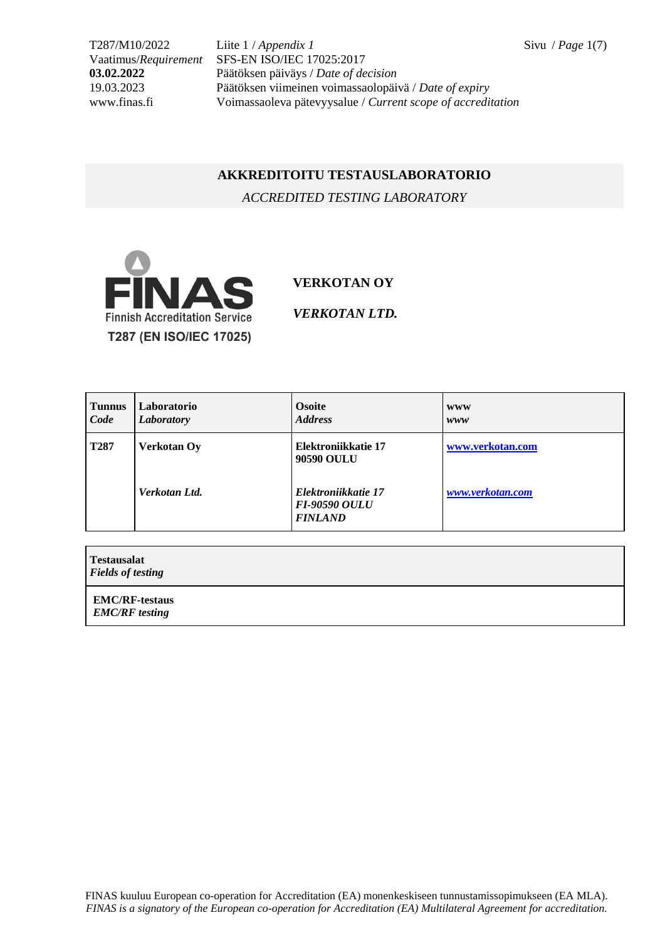T287/M10/2022 Liite 1 / *Appendix 1* Sivu / *Page* 1(7) Vaatimus/*Requirement* SFS-EN ISO/IEC 17025:2017 **03.02.2022** Päätöksen päiväys / *Date of decision* 19.03.2023 Päätöksen viimeinen voimassaolopäivä / *Date of expiry* www.finas.fi Voimassaoleva pätevyysalue / *Current scope of accreditation*

## **AKKREDITOITU TESTAUSLABORATORIO**

*ACCREDITED TESTING LABORATORY*



## **VERKOTAN OY**

*VERKOTAN LTD.*

| <b>Tunnus</b><br>Code | Laboratorio<br>Laboratory | <b>Osoite</b><br><b>Address</b>                               | <b>WWW</b><br>www |
|-----------------------|---------------------------|---------------------------------------------------------------|-------------------|
| <b>T287</b>           | <b>Verkotan Oy</b>        | Elektroniikkatie 17<br>90590 OULU                             | www.verkotan.com  |
|                       | Verkotan Ltd.             | Elektroniikkatie 17<br><b>FI-90590 OULU</b><br><b>FINLAND</b> | www.verkotan.com  |

**Testausalat** *Fields of testing* **EMC/RF-testaus** *EMC/RF testing*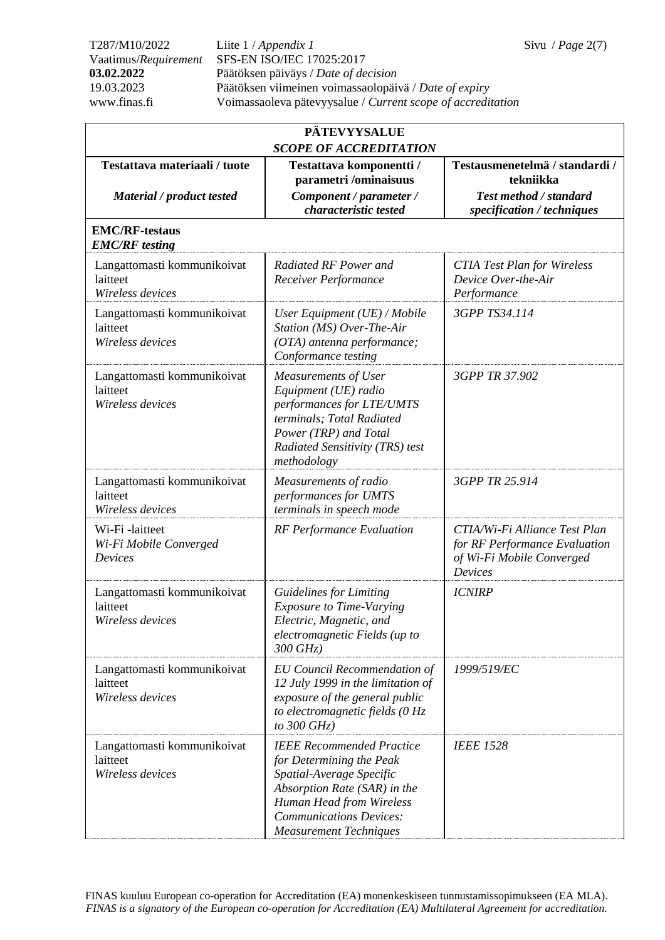T287/M10/2022 Liite 1 / *Appendix 1* Sivu / *Page* 2(7) Vaatimus/*Requirement* SFS-EN ISO/IEC 17025:2017 **03.02.2022** Päätöksen päiväys / *Date of decision* 19.03.2023 Päätöksen viimeinen voimassaolopäivä / *Date of expiry* www.finas.fi Voimassaoleva pätevyysalue / *Current scope of accreditation*

| <b>PÄTEVYYSALUE</b>                                         |                                                                                                                                                                                                                         |                                                                                                               |  |
|-------------------------------------------------------------|-------------------------------------------------------------------------------------------------------------------------------------------------------------------------------------------------------------------------|---------------------------------------------------------------------------------------------------------------|--|
| <b>SCOPE OF ACCREDITATION</b>                               |                                                                                                                                                                                                                         |                                                                                                               |  |
| Testattava materiaali / tuote                               | Testattava komponentti /<br>parametri /ominaisuus                                                                                                                                                                       | Testausmenetelmä / standardi /<br>tekniikka                                                                   |  |
| Material / product tested                                   | Component / parameter /<br>characteristic tested                                                                                                                                                                        | <b>Test method / standard</b><br>specification / techniques                                                   |  |
| <b>EMC/RF-testaus</b><br><b>EMC/RF</b> testing              |                                                                                                                                                                                                                         |                                                                                                               |  |
| Langattomasti kommunikoivat<br>laitteet<br>Wireless devices | Radiated RF Power and<br>Receiver Performance                                                                                                                                                                           | <b>CTIA Test Plan for Wireless</b><br>Device Over-the-Air<br>Performance                                      |  |
| Langattomasti kommunikoivat<br>laitteet<br>Wireless devices | User Equipment (UE) / Mobile<br>Station (MS) Over-The-Air<br>(OTA) antenna performance;<br>Conformance testing                                                                                                          | 3GPP TS34.114                                                                                                 |  |
| Langattomasti kommunikoivat<br>laitteet<br>Wireless devices | Measurements of User<br>Equipment (UE) radio<br>performances for LTE/UMTS<br>terminals; Total Radiated<br>Power (TRP) and Total<br>Radiated Sensitivity (TRS) test<br>methodology                                       | 3GPP TR 37.902                                                                                                |  |
| Langattomasti kommunikoivat<br>laitteet<br>Wireless devices | Measurements of radio<br>performances for UMTS<br>terminals in speech mode                                                                                                                                              | 3GPP TR 25.914                                                                                                |  |
| Wi-Fi-laitteet<br>Wi-Fi Mobile Converged<br>Devices         | <b>RF</b> Performance Evaluation                                                                                                                                                                                        | CTIA/Wi-Fi Alliance Test Plan<br>for RF Performance Evaluation<br>of Wi-Fi Mobile Converged<br><b>Devices</b> |  |
| Langattomasti kommunikoivat<br>laitteet<br>Wireless devices | <b>Guidelines for Limiting</b><br><b>Exposure to Time-Varying</b><br>Electric, Magnetic, and<br>electromagnetic Fields (up to<br>$300$ GHz)                                                                             | <b>ICNIRP</b>                                                                                                 |  |
| Langattomasti kommunikoivat<br>laitteet<br>Wireless devices | <b>EU Council Recommendation of</b><br>12 July 1999 in the limitation of<br>exposure of the general public<br>to electromagnetic fields $(0 Hz$<br>to $300$ GHz)                                                        | 1999/519/EC                                                                                                   |  |
| Langattomasti kommunikoivat<br>laitteet<br>Wireless devices | <b>IEEE Recommended Practice</b><br>for Determining the Peak<br>Spatial-Average Specific<br>Absorption Rate (SAR) in the<br>Human Head from Wireless<br><b>Communications Devices:</b><br><b>Measurement Techniques</b> | <b>IEEE 1528</b>                                                                                              |  |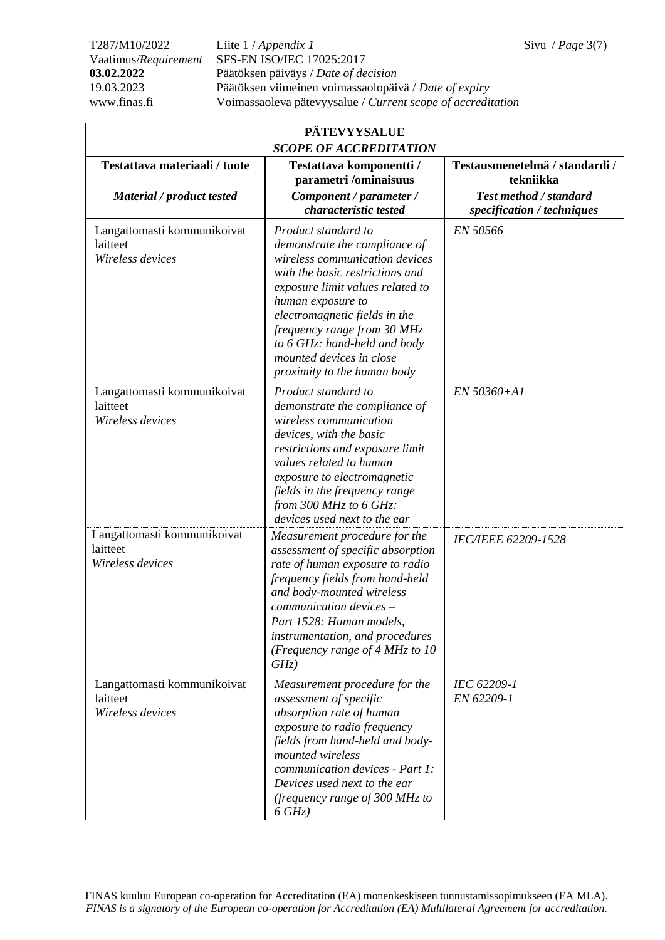T287/M10/2022 Liite 1 / *Appendix 1* Sivu / *Page* 3(7) Vaatimus/*Requirement* SFS-EN ISO/IEC 17025:2017 **03.02.2022** Päätöksen päiväys / *Date of decision* 19.03.2023 Päätöksen viimeinen voimassaolopäivä / *Date of expiry* www.finas.fi Voimassaoleva pätevyysalue / *Current scope of accreditation*

| <b>PÄTEVYYSALUE</b>                                         |                                                                                                                                                                                                                                                                                                                                               |                                             |  |
|-------------------------------------------------------------|-----------------------------------------------------------------------------------------------------------------------------------------------------------------------------------------------------------------------------------------------------------------------------------------------------------------------------------------------|---------------------------------------------|--|
| <b>SCOPE OF ACCREDITATION</b>                               |                                                                                                                                                                                                                                                                                                                                               |                                             |  |
| Testattava materiaali / tuote                               | Testattava komponentti /<br>parametri /ominaisuus                                                                                                                                                                                                                                                                                             | Testausmenetelmä / standardi /<br>tekniikka |  |
| Material / product tested                                   | Component / parameter /                                                                                                                                                                                                                                                                                                                       | Test method / standard                      |  |
|                                                             | characteristic tested                                                                                                                                                                                                                                                                                                                         | specification / techniques                  |  |
| Langattomasti kommunikoivat<br>laitteet<br>Wireless devices | Product standard to<br>demonstrate the compliance of<br>wireless communication devices<br>with the basic restrictions and<br>exposure limit values related to<br>human exposure to<br>electromagnetic fields in the<br>frequency range from 30 MHz<br>to 6 GHz: hand-held and body<br>mounted devices in close<br>proximity to the human body | EN 50566                                    |  |
| Langattomasti kommunikoivat<br>laitteet<br>Wireless devices | Product standard to<br>demonstrate the compliance of<br>wireless communication<br>devices, with the basic<br>restrictions and exposure limit<br>values related to human<br>exposure to electromagnetic<br>fields in the frequency range<br>from 300 MHz to $6$ GHz:<br>devices used next to the ear                                           | EN 50360+A1                                 |  |
| Langattomasti kommunikoivat<br>laitteet<br>Wireless devices | Measurement procedure for the<br>assessment of specific absorption<br>rate of human exposure to radio<br>frequency fields from hand-held<br>and body-mounted wireless<br>communication devices -<br>Part 1528: Human models.<br>instrumentation, and procedures<br>(Frequency range of 4 MHz to 10<br>GHz)                                    | <b>IEC/IEEE 62209-1528</b>                  |  |
| Langattomasti kommunikoivat<br>laitteet<br>Wireless devices | Measurement procedure for the<br>assessment of specific<br>absorption rate of human<br>exposure to radio frequency<br>fields from hand-held and body-<br>mounted wireless<br>communication devices - Part 1:<br>Devices used next to the ear<br>(frequency range of 300 MHz to<br>$6 GHz$ )                                                   | IEC 62209-1<br>EN 62209-1                   |  |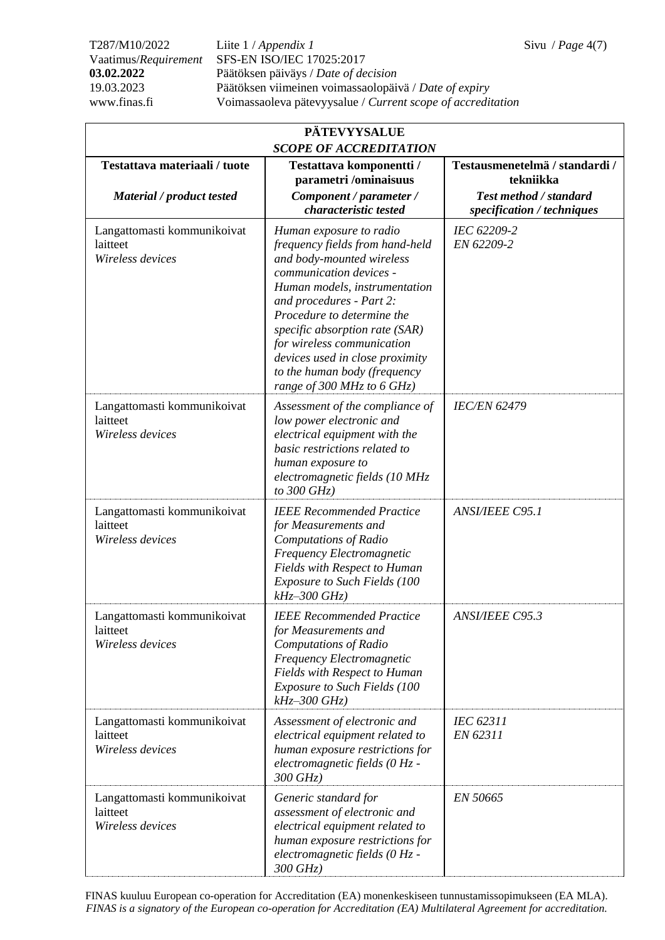T287/M10/2022 Liite 1 / *Appendix 1* Sivu / *Page* 4(7) Vaatimus/*Requirement* SFS-EN ISO/IEC 17025:2017 **03.02.2022** Päätöksen päiväys / *Date of decision* 19.03.2023 Päätöksen viimeinen voimassaolopäivä / *Date of expiry* www.finas.fi Voimassaoleva pätevyysalue / *Current scope of accreditation*

| <b>PÄTEVYYSALUE</b><br><b>SCOPE OF ACCREDITATION</b>        |                                                                                                                                                                                                                                                                                                                                                                                |                                                                                                     |  |
|-------------------------------------------------------------|--------------------------------------------------------------------------------------------------------------------------------------------------------------------------------------------------------------------------------------------------------------------------------------------------------------------------------------------------------------------------------|-----------------------------------------------------------------------------------------------------|--|
| Testattava materiaali / tuote<br>Material / product tested  | Testattava komponentti /<br>parametri /ominaisuus<br>Component / parameter /<br>characteristic tested                                                                                                                                                                                                                                                                          | Testausmenetelmä / standardi /<br>tekniikka<br>Test method / standard<br>specification / techniques |  |
| Langattomasti kommunikoivat<br>laitteet<br>Wireless devices | Human exposure to radio<br>frequency fields from hand-held<br>and body-mounted wireless<br>communication devices -<br>Human models, instrumentation<br>and procedures - Part 2:<br>Procedure to determine the<br>specific absorption rate (SAR)<br>for wireless communication<br>devices used in close proximity<br>to the human body (frequency<br>range of 300 MHz to 6 GHz) | IEC 62209-2<br>EN 62209-2                                                                           |  |
| Langattomasti kommunikoivat<br>laitteet<br>Wireless devices | Assessment of the compliance of<br>low power electronic and<br>electrical equipment with the<br>basic restrictions related to<br>human exposure to<br>electromagnetic fields (10 MHz<br>to $300$ GHz)                                                                                                                                                                          | <b>IEC/EN 62479</b>                                                                                 |  |
| Langattomasti kommunikoivat<br>laitteet<br>Wireless devices | <b>IEEE Recommended Practice</b><br>for Measurements and<br><b>Computations of Radio</b><br>Frequency Electromagnetic<br>Fields with Respect to Human<br><b>Exposure to Such Fields (100</b><br>$kHz - 300$ $GHz$ )                                                                                                                                                            | <b>ANSI/IEEE C95.1</b>                                                                              |  |
| Langattomasti kommunikoivat<br>laitteet<br>Wireless devices | <b>IEEE Recommended Practice</b><br>for Measurements and<br><b>Computations of Radio</b><br>Frequency Electromagnetic<br><b>Fields with Respect to Human</b><br><b>Exposure to Such Fields (100</b><br>$kHz$ -300 GHz)                                                                                                                                                         | <b>ANSI/IEEE C95.3</b>                                                                              |  |
| Langattomasti kommunikoivat<br>laitteet<br>Wireless devices | Assessment of electronic and<br>electrical equipment related to<br>human exposure restrictions for<br>electromagnetic fields (0 Hz -<br>300 GHz)                                                                                                                                                                                                                               | IEC 62311<br>EN 62311                                                                               |  |
| Langattomasti kommunikoivat<br>laitteet<br>Wireless devices | Generic standard for<br>assessment of electronic and<br>electrical equipment related to<br>human exposure restrictions for<br>electromagnetic fields (0 Hz -<br>300 GHz)                                                                                                                                                                                                       | EN 50665                                                                                            |  |

FINAS kuuluu European co-operation for Accreditation (EA) monenkeskiseen tunnustamissopimukseen (EA MLA). *FINAS is a signatory of the European co-operation for Accreditation (EA) Multilateral Agreement for accreditation.*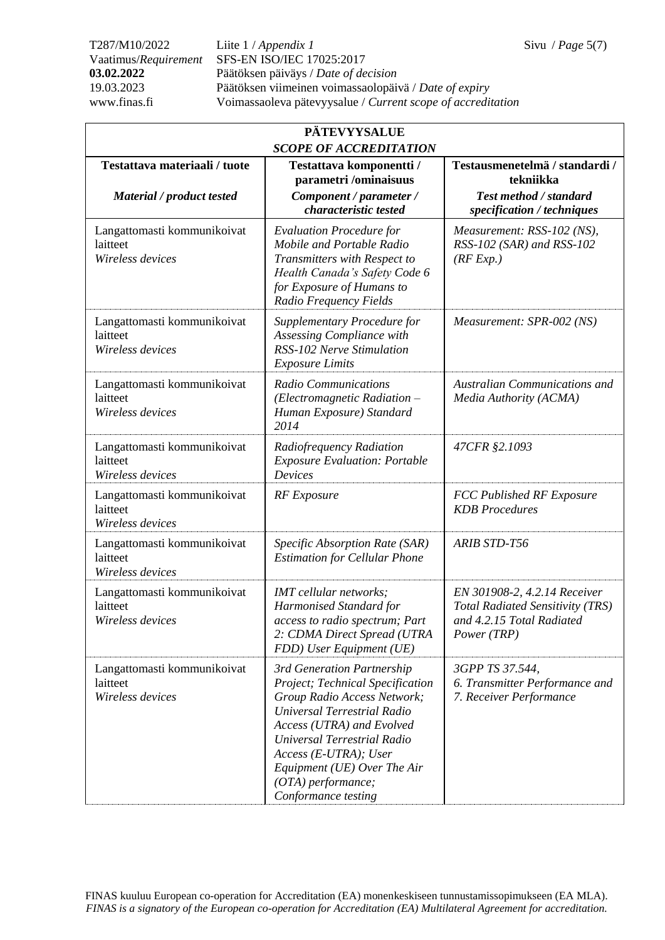T287/M10/2022 Liite 1 / *Appendix 1* Sivu / *Page* 5(7) Vaatimus/*Requirement* SFS-EN ISO/IEC 17025:2017 **03.02.2022** Päätöksen päiväys / *Date of decision* 19.03.2023 Päätöksen viimeinen voimassaolopäivä / *Date of expiry* www.finas.fi Voimassaoleva pätevyysalue / *Current scope of accreditation*

| <b>PÄTEVYYSALUE</b><br><b>SCOPE OF ACCREDITATION</b>        |                                                                                                                                                                                                                                                                                                 |                                                                                                                     |  |
|-------------------------------------------------------------|-------------------------------------------------------------------------------------------------------------------------------------------------------------------------------------------------------------------------------------------------------------------------------------------------|---------------------------------------------------------------------------------------------------------------------|--|
| Testattava materiaali / tuote<br>Material / product tested  | Testattava komponentti /<br>parametri /ominaisuus<br>Component / parameter /<br>characteristic tested                                                                                                                                                                                           | Testausmenetelmä / standardi /<br>tekniikka<br><b>Test method / standard</b><br>specification / techniques          |  |
| Langattomasti kommunikoivat<br>laitteet<br>Wireless devices | <b>Evaluation Procedure for</b><br>Mobile and Portable Radio<br>Transmitters with Respect to<br>Health Canada's Safety Code 6<br>for Exposure of Humans to<br>Radio Frequency Fields                                                                                                            | Measurement: RSS-102 (NS),<br>RSS-102 (SAR) and RSS-102<br>(RF Exp.)                                                |  |
| Langattomasti kommunikoivat<br>laitteet<br>Wireless devices | Supplementary Procedure for<br>Assessing Compliance with<br>RSS-102 Nerve Stimulation<br><b>Exposure Limits</b>                                                                                                                                                                                 | Measurement: SPR-002 (NS)                                                                                           |  |
| Langattomasti kommunikoivat<br>laitteet<br>Wireless devices | <b>Radio Communications</b><br>(Electromagnetic Radiation -<br>Human Exposure) Standard<br>2014                                                                                                                                                                                                 | <b>Australian Communications and</b><br>Media Authority (ACMA)                                                      |  |
| Langattomasti kommunikoivat<br>laitteet<br>Wireless devices | Radiofrequency Radiation<br><b>Exposure Evaluation: Portable</b><br><b>Devices</b>                                                                                                                                                                                                              | 47CFR §2.1093                                                                                                       |  |
| Langattomasti kommunikoivat<br>laitteet<br>Wireless devices | <b>RF</b> Exposure                                                                                                                                                                                                                                                                              | <b>FCC Published RF Exposure</b><br><b>KDB</b> Procedures                                                           |  |
| Langattomasti kommunikoivat<br>laitteet<br>Wireless devices | Specific Absorption Rate (SAR)<br><b>Estimation for Cellular Phone</b>                                                                                                                                                                                                                          | <b>ARIB STD-T56</b>                                                                                                 |  |
| Langattomasti kommunikoivat<br>laitteet<br>Wireless devices | IMT cellular networks;<br>Harmonised Standard for<br><i>access to radio spectrum; Part</i><br>2: CDMA Direct Spread (UTRA<br>FDD) User Equipment (UE)                                                                                                                                           | EN 301908-2, 4.2.14 Receiver<br><b>Total Radiated Sensitivity (TRS)</b><br>and 4.2.15 Total Radiated<br>Power (TRP) |  |
| Langattomasti kommunikoivat<br>laitteet<br>Wireless devices | 3rd Generation Partnership<br>Project; Technical Specification<br>Group Radio Access Network;<br>Universal Terrestrial Radio<br>Access (UTRA) and Evolved<br>Universal Terrestrial Radio<br>$Access (E-UTRA); User$<br>Equipment (UE) Over The Air<br>(OTA) performance;<br>Conformance testing | 3GPP TS 37.544,<br>6. Transmitter Performance and<br>7. Receiver Performance                                        |  |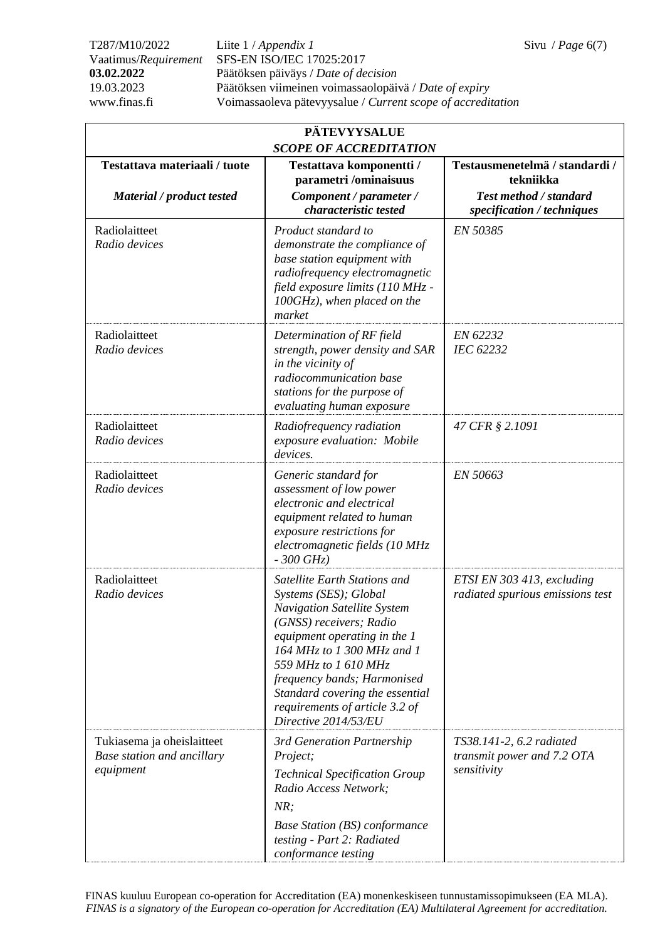T287/M10/2022 Liite 1 / *Appendix 1* Sivu / *Page* 6(7) Vaatimus/*Requirement* SFS-EN ISO/IEC 17025:2017 **03.02.2022** Päätöksen päiväys / *Date of decision* 19.03.2023 Päätöksen viimeinen voimassaolopäivä / *Date of expiry* www.finas.fi Voimassaoleva pätevyysalue / *Current scope of accreditation*

| <b>PÄTEVYYSALUE</b><br><b>SCOPE OF ACCREDITATION</b>                  |                                                                                                                                                                                                                                                                                                                                          |                                                                                                     |  |
|-----------------------------------------------------------------------|------------------------------------------------------------------------------------------------------------------------------------------------------------------------------------------------------------------------------------------------------------------------------------------------------------------------------------------|-----------------------------------------------------------------------------------------------------|--|
| Testattava materiaali / tuote<br>Material / product tested            | Testattava komponentti /<br>parametri /ominaisuus<br>Component / parameter /<br>characteristic tested                                                                                                                                                                                                                                    | Testausmenetelmä / standardi /<br>tekniikka<br>Test method / standard<br>specification / techniques |  |
| Radiolaitteet<br>Radio devices                                        | Product standard to<br>demonstrate the compliance of<br>base station equipment with<br>radiofrequency electromagnetic<br>field exposure limits (110 MHz -<br>$100GHz$ ), when placed on the<br>market                                                                                                                                    | EN 50385                                                                                            |  |
| Radiolaitteet<br>Radio devices                                        | Determination of RF field<br>strength, power density and SAR<br>in the vicinity of<br>radiocommunication base<br>stations for the purpose of<br>evaluating human exposure                                                                                                                                                                | EN 62232<br>IEC 62232                                                                               |  |
| Radiolaitteet<br>Radio devices                                        | Radiofrequency radiation<br>exposure evaluation: Mobile<br>devices.                                                                                                                                                                                                                                                                      | 47 CFR § 2.1091                                                                                     |  |
| Radiolaitteet<br>Radio devices                                        | Generic standard for<br>assessment of low power<br>electronic and electrical<br>equipment related to human<br>exposure restrictions for<br>electromagnetic fields (10 MHz<br>$-300$ GHz)                                                                                                                                                 | EN 50663                                                                                            |  |
| Radiolaitteet<br>Radio devices                                        | Satellite Earth Stations and<br>Systems (SES); Global<br><b>Navigation Satellite System</b><br>(GNSS) receivers; Radio<br>equipment operating in the 1<br>164 MHz to 1 300 MHz and 1<br>559 MHz to 1 610 MHz<br>frequency bands; Harmonised<br>Standard covering the essential<br>requirements of article 3.2 of<br>Directive 2014/53/EU | ETSI EN 303 413, excluding<br>radiated spurious emissions test                                      |  |
| Tukiasema ja oheislaitteet<br>Base station and ancillary<br>equipment | 3rd Generation Partnership<br>Project;<br><b>Technical Specification Group</b><br>Radio Access Network;<br>NR;<br><b>Base Station (BS) conformance</b>                                                                                                                                                                                   | TS38.141-2, 6.2 radiated<br>transmit power and 7.2 OTA<br>sensitivity                               |  |
|                                                                       | testing - Part 2: Radiated<br>conformance testing                                                                                                                                                                                                                                                                                        |                                                                                                     |  |

FINAS kuuluu European co-operation for Accreditation (EA) monenkeskiseen tunnustamissopimukseen (EA MLA). *FINAS is a signatory of the European co-operation for Accreditation (EA) Multilateral Agreement for accreditation.*